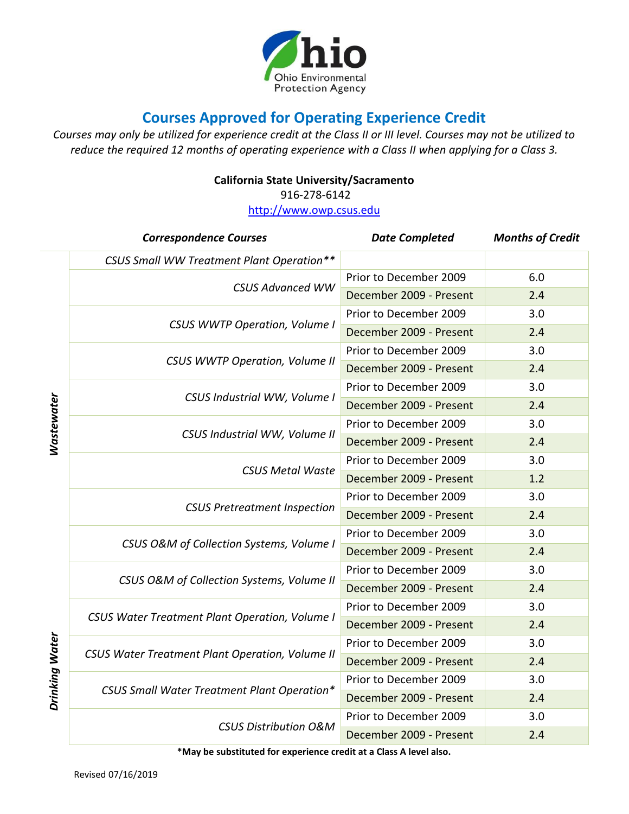

## **Courses Approved for Operating Experience Credit**

*Courses may only be utilized for experience credit at the Class II or III level. Courses may not be utilized to reduce the required 12 months of operating experience with a Class II when applying for a Class 3.*

## **California State University/Sacramento**

916-278-6142

[http://www.owp.csus.edu](http://www.owp.csus.edu/)

| <b>Correspondence Courses</b>                          | <b>Date Completed</b>   | <b>Months of Credit</b> |
|--------------------------------------------------------|-------------------------|-------------------------|
| CSUS Small WW Treatment Plant Operation**              |                         |                         |
|                                                        | Prior to December 2009  | 6.0                     |
| <b>CSUS Advanced WW</b>                                | December 2009 - Present | 2.4                     |
|                                                        | Prior to December 2009  | 3.0                     |
| <b>CSUS WWTP Operation, Volume I</b>                   | December 2009 - Present | 2.4                     |
|                                                        | Prior to December 2009  | 3.0                     |
| <b>CSUS WWTP Operation, Volume II</b>                  | December 2009 - Present | 2.4                     |
|                                                        | Prior to December 2009  | 3.0                     |
| CSUS Industrial WW, Volume I                           | December 2009 - Present | 2.4                     |
|                                                        | Prior to December 2009  | 3.0                     |
| CSUS Industrial WW, Volume II                          | December 2009 - Present | 2.4                     |
|                                                        | Prior to December 2009  | 3.0                     |
| <b>CSUS Metal Waste</b>                                | December 2009 - Present | 1.2                     |
|                                                        | Prior to December 2009  | 3.0                     |
| <b>CSUS Pretreatment Inspection</b>                    | December 2009 - Present | 2.4                     |
|                                                        | Prior to December 2009  | 3.0                     |
| CSUS O&M of Collection Systems, Volume I               | December 2009 - Present | 2.4                     |
| CSUS O&M of Collection Systems, Volume II              | Prior to December 2009  | 3.0                     |
|                                                        | December 2009 - Present | 2.4                     |
|                                                        | Prior to December 2009  | 3.0                     |
| <b>CSUS Water Treatment Plant Operation, Volume I</b>  | December 2009 - Present | 2.4                     |
| <b>CSUS Water Treatment Plant Operation, Volume II</b> | Prior to December 2009  | 3.0                     |
|                                                        | December 2009 - Present | 2.4                     |
| CSUS Small Water Treatment Plant Operation*            | Prior to December 2009  | 3.0                     |
|                                                        | December 2009 - Present | 2.4                     |
|                                                        | Prior to December 2009  | 3.0                     |
| <b>CSUS Distribution O&amp;M</b>                       | December 2009 - Present | 2.4                     |

**\*May be substituted for experience credit at a Class A level also.**

*Wastewater*

**Wastewater** 

*Drinking Water*

Drinking Water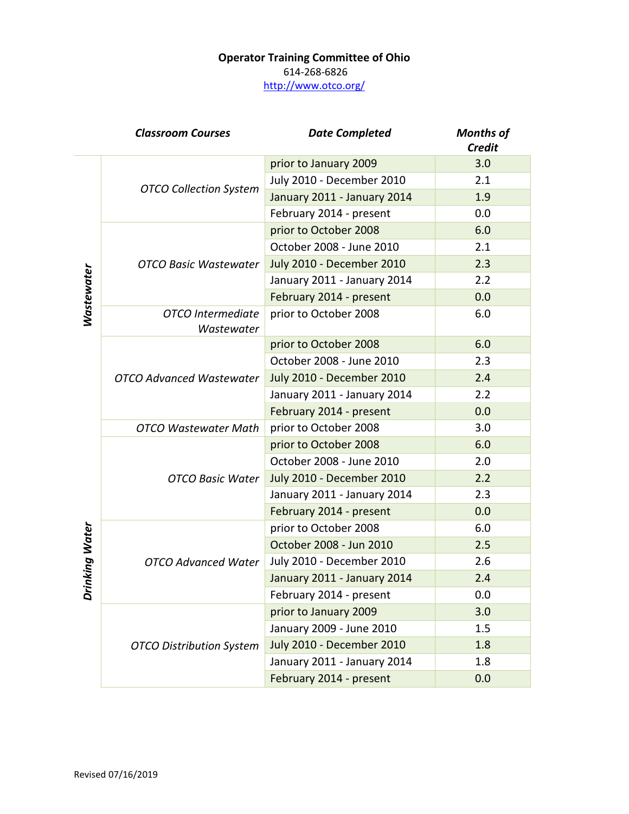## **Operator Training Committee of Ohio** 614-268-6826 <http://www.otco.org/>

|                   | <b>Classroom Courses</b>        | <b>Date Completed</b>            | <b>Months of</b><br><b>Credit</b> |
|-------------------|---------------------------------|----------------------------------|-----------------------------------|
| <b>Wastewater</b> | <b>OTCO Collection System</b>   | prior to January 2009            | 3.0                               |
|                   |                                 | July 2010 - December 2010        | 2.1                               |
|                   |                                 | January 2011 - January 2014      | 1.9                               |
|                   |                                 | February 2014 - present          | 0.0                               |
|                   | <b>OTCO Basic Wastewater</b>    | prior to October 2008            | 6.0                               |
|                   |                                 | October 2008 - June 2010         | 2.1                               |
|                   |                                 | <b>July 2010 - December 2010</b> | 2.3                               |
|                   |                                 | January 2011 - January 2014      | 2.2                               |
|                   |                                 | February 2014 - present          | 0.0                               |
|                   | OTCO Intermediate<br>Wastewater | prior to October 2008            | 6.0                               |
|                   | <b>OTCO Advanced Wastewater</b> | prior to October 2008            | 6.0                               |
|                   |                                 | October 2008 - June 2010         | 2.3                               |
|                   |                                 | <b>July 2010 - December 2010</b> | 2.4                               |
|                   |                                 | January 2011 - January 2014      | 2.2                               |
|                   |                                 | February 2014 - present          | 0.0                               |
|                   | <b>OTCO Wastewater Math</b>     | prior to October 2008            | 3.0                               |
|                   | <b>OTCO Basic Water</b>         | prior to October 2008            | 6.0                               |
|                   |                                 | October 2008 - June 2010         | 2.0                               |
|                   |                                 | <b>July 2010 - December 2010</b> | 2.2                               |
| nking Water<br>ă  |                                 | January 2011 - January 2014      | 2.3                               |
|                   |                                 | February 2014 - present          | 0.0                               |
|                   | <b>OTCO Advanced Water</b>      | prior to October 2008            | 6.0                               |
|                   |                                 | October 2008 - Jun 2010          | 2.5                               |
|                   |                                 | July 2010 - December 2010        | 2.6                               |
|                   |                                 | January 2011 - January 2014      | 2.4                               |
|                   |                                 | February 2014 - present          | 0.0                               |
|                   | <b>OTCO Distribution System</b> | prior to January 2009            | 3.0                               |
|                   |                                 | January 2009 - June 2010         | 1.5                               |
|                   |                                 | <b>July 2010 - December 2010</b> | 1.8                               |
|                   |                                 | January 2011 - January 2014      | 1.8                               |
|                   |                                 | February 2014 - present          | 0.0                               |

L,